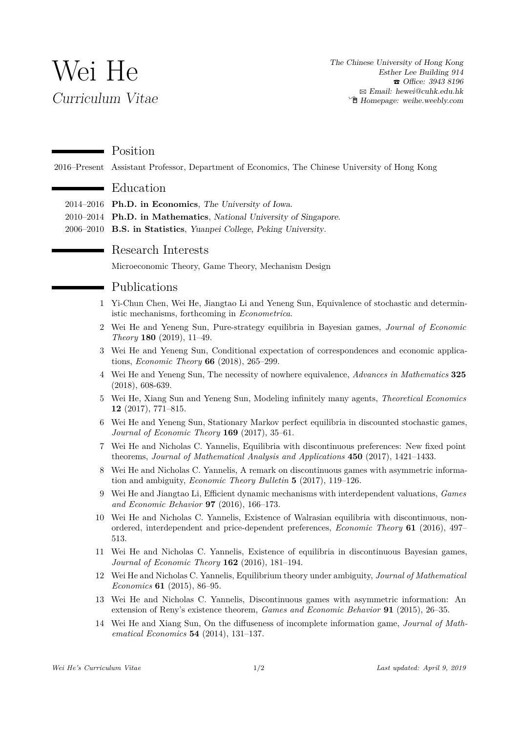# Wei He *Curriculum Vitae*

 $\mathbf{r}$ 

 $\overline{\phantom{0}}$ 

*The Chinese University of Hong Kong Esther Lee Building 914* T *Office: 3943 8196* B *Email: hewei@cuhk.edu.hk* Í *Homepage: weihe.weebly.com*

#### Position

2016–Present Assistant Professor, Department of Economics, The Chinese University of Hong Kong

### Education

- 2014–2016 **Ph.D. in Economics**, *The University of Iowa*.
- 2010–2014 **Ph.D. in Mathematics**, *National University of Singapore*.
- 2006–2010 **B.S. in Statistics**, *Yuanpei College, Peking University*.

### Research Interests

Microeconomic Theory, Game Theory, Mechanism Design

#### Publications

- 1 Yi-Chun Chen, Wei He, Jiangtao Li and Yeneng Sun, Equivalence of stochastic and deterministic mechanisms, forthcoming in *Econometrica*.
- 2 Wei He and Yeneng Sun, Pure-strategy equilibria in Bayesian games, *Journal of Economic Theory* **180** (2019), 11–49.
- 3 Wei He and Yeneng Sun, Conditional expectation of correspondences and economic applications, *Economic Theory* **66** (2018), 265–299.
- 4 Wei He and Yeneng Sun, The necessity of nowhere equivalence, *Advances in Mathematics* **325** (2018), 608-639.
- 5 Wei He, Xiang Sun and Yeneng Sun, Modeling infinitely many agents, *Theoretical Economics* **12** (2017), 771–815.
- 6 Wei He and Yeneng Sun, Stationary Markov perfect equilibria in discounted stochastic games, *Journal of Economic Theory* **169** (2017), 35–61.
- 7 Wei He and Nicholas C. Yannelis, Equilibria with discontinuous preferences: New fixed point theorems, *Journal of Mathematical Analysis and Applications* **450** (2017), 1421–1433.
- 8 Wei He and Nicholas C. Yannelis, A remark on discontinuous games with asymmetric information and ambiguity, *Economic Theory Bulletin* **5** (2017), 119–126.
- 9 Wei He and Jiangtao Li, Efficient dynamic mechanisms with interdependent valuations, *Games and Economic Behavior* **97** (2016), 166–173.
- 10 Wei He and Nicholas C. Yannelis, Existence of Walrasian equilibria with discontinuous, nonordered, interdependent and price-dependent preferences, *Economic Theory* **61** (2016), 497– 513.
- 11 Wei He and Nicholas C. Yannelis, Existence of equilibria in discontinuous Bayesian games, *Journal of Economic Theory* **162** (2016), 181–194.
- 12 Wei He and Nicholas C. Yannelis, Equilibrium theory under ambiguity, *Journal of Mathematical Economics* **61** (2015), 86–95.
- 13 Wei He and Nicholas C. Yannelis, Discontinuous games with asymmetric information: An extension of Reny's existence theorem, *Games and Economic Behavior* **91** (2015), 26–35.
- 14 Wei He and Xiang Sun, On the diffuseness of incomplete information game, *Journal of Mathematical Economics* **54** (2014), 131–137.